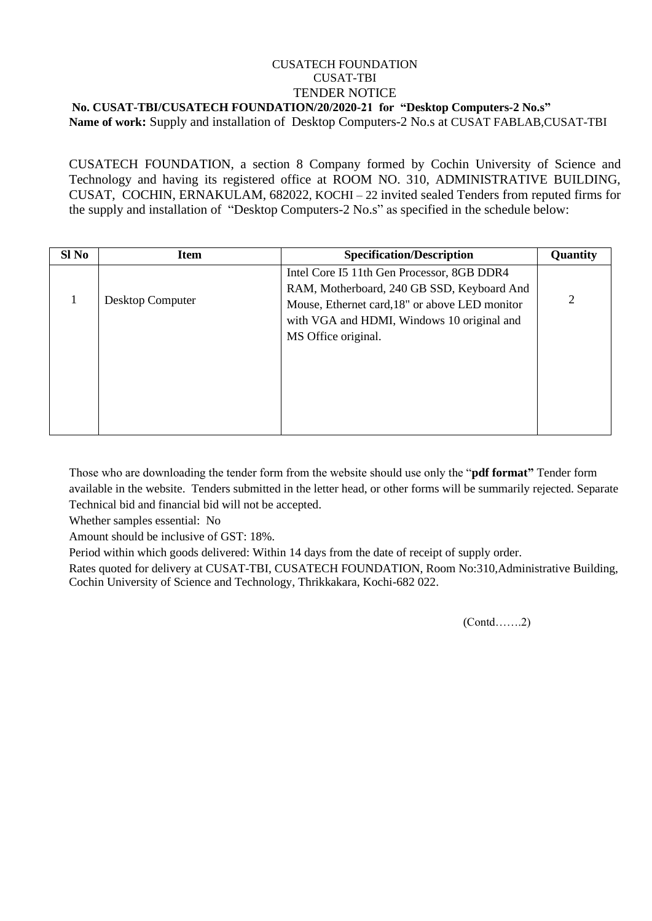## CUSATECH FOUNDATION CUSAT-TBI TENDER NOTICE **No. CUSAT-TBI/CUSATECH FOUNDATION/20/2020-21 for "Desktop Computers-2 No.s"**

**Name of work:** Supply and installation of Desktop Computers-2 No.s at CUSAT FABLAB,CUSAT-TBI

CUSATECH FOUNDATION, a section 8 Company formed by Cochin University of Science and Technology and having its registered office at ROOM NO. 310, ADMINISTRATIVE BUILDING, CUSAT, COCHIN, ERNAKULAM, 682022, KOCHI – 22 invited sealed Tenders from reputed firms for the supply and installation of "Desktop Computers-2 No.s" as specified in the schedule below:

| Sl No | <b>Item</b>      | <b>Specification/Description</b>                                                                                                                                                                                | Quantity |
|-------|------------------|-----------------------------------------------------------------------------------------------------------------------------------------------------------------------------------------------------------------|----------|
|       | Desktop Computer | Intel Core I5 11th Gen Processor, 8GB DDR4<br>RAM, Motherboard, 240 GB SSD, Keyboard And<br>Mouse, Ethernet card, 18" or above LED monitor<br>with VGA and HDMI, Windows 10 original and<br>MS Office original. |          |
|       |                  |                                                                                                                                                                                                                 |          |

Those who are downloading the tender form from the website should use only the "**pdf format"** Tender form available in the website. Tenders submitted in the letter head, or other forms will be summarily rejected. Separate Technical bid and financial bid will not be accepted.

Whether samples essential: No

Amount should be inclusive of GST: 18%.

Period within which goods delivered: Within 14 days from the date of receipt of supply order.

Rates quoted for delivery at CUSAT-TBI, CUSATECH FOUNDATION, Room No:310,Administrative Building, Cochin University of Science and Technology, Thrikkakara, Kochi-682 022.

(Contd…….2)